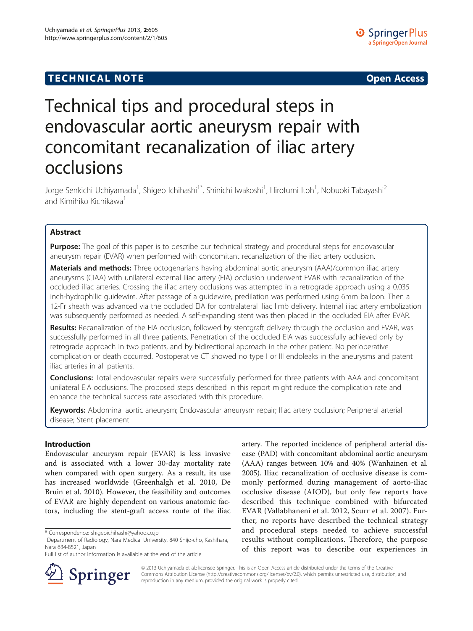## **TECHNICAL NOTE CONSIDERING ACCESS**



# Technical tips and procedural steps in endovascular aortic aneurysm repair with concomitant recanalization of iliac artery occlusions

Jorge Senkichi Uchiyamada<sup>1</sup>, Shigeo Ichihashi<sup>1\*</sup>, Shinichi Iwakoshi<sup>1</sup>, Hirofumi Itoh<sup>1</sup>, Nobuoki Tabayashi<sup>2</sup> and Kimihiko Kichikawa<sup>1</sup>

## Abstract

Purpose: The goal of this paper is to describe our technical strategy and procedural steps for endovascular aneurysm repair (EVAR) when performed with concomitant recanalization of the iliac artery occlusion.

Materials and methods: Three octogenarians having abdominal aortic aneurysm (AAA)/common iliac artery aneurysms (CIAA) with unilateral external iliac artery (EIA) occlusion underwent EVAR with recanalization of the occluded iliac arteries. Crossing the iliac artery occlusions was attempted in a retrograde approach using a 0.035 inch-hydrophilic guidewire. After passage of a guidewire, predilation was performed using 6mm balloon. Then a 12-Fr sheath was advanced via the occluded EIA for contralateral iliac limb delivery. Internal iliac artery embolization was subsequently performed as needed. A self-expanding stent was then placed in the occluded EIA after EVAR.

Results: Recanalization of the EIA occlusion, followed by stentgraft delivery through the occlusion and EVAR, was successfully performed in all three patients. Penetration of the occluded EIA was successfully achieved only by retrograde approach in two patients, and by bidirectional approach in the other patient. No perioperative complication or death occurred. Postoperative CT showed no type I or III endoleaks in the aneurysms and patent iliac arteries in all patients.

**Conclusions:** Total endovascular repairs were successfully performed for three patients with AAA and concomitant unilateral EIA occlusions. The proposed steps described in this report might reduce the complication rate and enhance the technical success rate associated with this procedure.

Keywords: Abdominal aortic aneurysm; Endovascular aneurysm repair; Iliac artery occlusion; Peripheral arterial disease; Stent placement

## Introduction

Endovascular aneurysm repair (EVAR) is less invasive and is associated with a lower 30-day mortality rate when compared with open surgery. As a result, its use has increased worldwide (Greenhalgh et al. [2010](#page-3-0), De Bruin et al. [2010](#page-3-0)). However, the feasibility and outcomes of EVAR are highly dependent on various anatomic factors, including the stent-graft access route of the iliac

Full list of author information is available at the end of the article



artery. The reported incidence of peripheral arterial disease (PAD) with concomitant abdominal aortic aneurysm (AAA) ranges between 10% and 40% (Wanhainen et al. [2005](#page-4-0)). Iliac recanalization of occlusive disease is com-



© 2013 Uchiyamada et al.; licensee Springer. This is an Open Access article distributed under the terms of the Creative Commons Attribution License (<http://creativecommons.org/licenses/by/2.0>), which permits unrestricted use, distribution, and reproduction in any medium, provided the original work is properly cited.

<sup>\*</sup> Correspondence: [shigeoichihashi@yahoo.co.jp](mailto:shigeoichihashi@yahoo.co.jp) <sup>1</sup>

<sup>&</sup>lt;sup>1</sup>Department of Radiology, Nara Medical University, 840 Shijo-cho, Kashihara, Nara 634-8521, Japan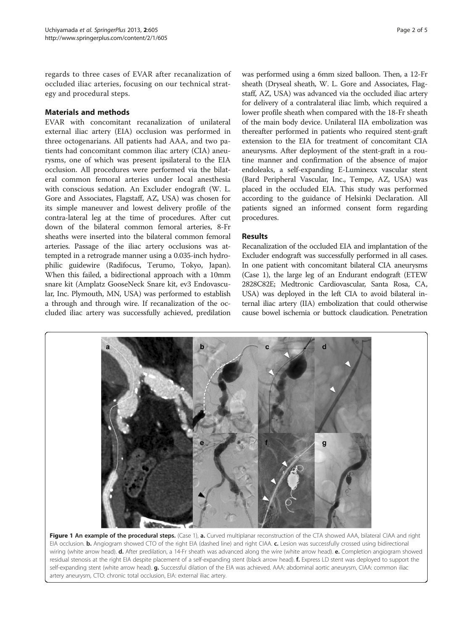<span id="page-1-0"></span>regards to three cases of EVAR after recanalization of occluded iliac arteries, focusing on our technical strategy and procedural steps.

## Materials and methods

EVAR with concomitant recanalization of unilateral external iliac artery (EIA) occlusion was performed in three octogenarians. All patients had AAA, and two patients had concomitant common iliac artery (CIA) aneurysms, one of which was present ipsilateral to the EIA occlusion. All procedures were performed via the bilateral common femoral arteries under local anesthesia with conscious sedation. An Excluder endograft (W. L. Gore and Associates, Flagstaff, AZ, USA) was chosen for its simple maneuver and lowest delivery profile of the contra-lateral leg at the time of procedures. After cut down of the bilateral common femoral arteries, 8-Fr sheaths were inserted into the bilateral common femoral arteries. Passage of the iliac artery occlusions was attempted in a retrograde manner using a 0.035-inch hydrophilic guidewire (Radifocus, Terumo, Tokyo, Japan). When this failed, a bidirectional approach with a 10mm snare kit (Amplatz GooseNeck Snare kit, ev3 Endovascular, Inc. Plymouth, MN, USA) was performed to establish a through and through wire. If recanalization of the occluded iliac artery was successfully achieved, predilation

was performed using a 6mm sized balloon. Then, a 12-Fr sheath (Dryseal sheath, W. L. Gore and Associates, Flagstaff, AZ, USA) was advanced via the occluded iliac artery for delivery of a contralateral iliac limb, which required a lower profile sheath when compared with the 18-Fr sheath of the main body device. Unilateral IIA embolization was thereafter performed in patients who required stent-graft extension to the EIA for treatment of concomitant CIA aneurysms. After deployment of the stent-graft in a routine manner and confirmation of the absence of major endoleaks, a self-expanding E-Luminexx vascular stent (Bard Peripheral Vascular, Inc., Tempe, AZ, USA) was placed in the occluded EIA. This study was performed according to the guidance of Helsinki Declaration. All patients signed an informed consent form regarding procedures.

## Results

Recanalization of the occluded EIA and implantation of the Excluder endograft was successfully performed in all cases. In one patient with concomitant bilateral CIA aneurysms (Case 1), the large leg of an Endurant endograft (ETEW 2828C82E; Medtronic Cardiovascular, Santa Rosa, CA, USA) was deployed in the left CIA to avoid bilateral internal iliac artery (IIA) embolization that could otherwise cause bowel ischemia or buttock claudication. Penetration



Figure 1 An example of the procedural steps. (Case 1), a. Curved multiplanar reconstruction of the CTA showed AAA, bilateral CIAA and right EIA occlusion. **b.** Angiogram showed CTO of the right EIA (dashed line) and right CIAA. c. Lesion was successfully crossed using bidirectional wiring (white arrow head). d. After predilation, a 14-Fr sheath was advanced along the wire (white arrow head). e. Completion angiogram showed residual stenosis at the right EIA despite placement of a self-expanding stent (black arrow head). **f.** Express LD stent was deployed to support the self-expanding stent (white arrow head). g. Successful dilation of the EIA was achieved. AAA: abdominal aortic aneurysm, CIAA: common iliac artery aneurysm, CTO: chronic total occlusion, EIA: external iliac artery.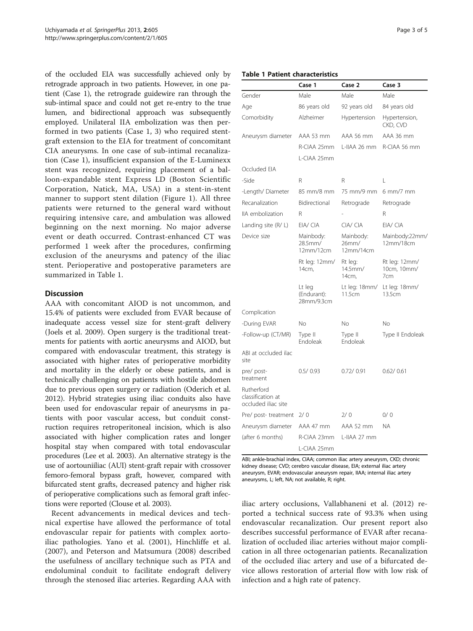of the occluded EIA was successfully achieved only by retrograde approach in two patients. However, in one patient (Case 1), the retrograde guidewire ran through the sub-intimal space and could not get re-entry to the true lumen, and bidirectional approach was subsequently employed. Unilateral IIA embolization was then performed in two patients (Case 1, 3) who required stentgraft extension to the EIA for treatment of concomitant CIA aneurysms. In one case of sub-intimal recanalization (Case 1), insufficient expansion of the E-Luminexx stent was recognized, requiring placement of a balloon-expandable stent Express LD (Boston Scientific Corporation, Natick, MA, USA) in a stent-in-stent manner to support stent dilation (Figure [1\)](#page-1-0). All three patients were returned to the general ward without requiring intensive care, and ambulation was allowed beginning on the next morning. No major adverse event or death occurred. Contrast-enhanced CT was performed 1 week after the procedures, confirming exclusion of the aneurysms and patency of the iliac stent. Perioperative and postoperative parameters are summarized in Table 1.

### Discussion

AAA with concomitant AIOD is not uncommon, and 15.4% of patients were excluded from EVAR because of inadequate access vessel size for stent-graft delivery (Joels et al. [2009\)](#page-3-0). Open surgery is the traditional treatments for patients with aortic aneurysms and AIOD, but compared with endovascular treatment, this strategy is associated with higher rates of perioperative morbidity and mortality in the elderly or obese patients, and is technically challenging on patients with hostile abdomen due to previous open surgery or radiation (Oderich et al. [2012](#page-4-0)). Hybrid strategies using iliac conduits also have been used for endovascular repair of aneurysms in patients with poor vascular access, but conduit construction requires retroperitoneal incision, which is also associated with higher complication rates and longer hospital stay when compared with total endovascular procedures (Lee et al. [2003](#page-3-0)). An alternative strategy is the use of aortouniiliac (AUI) stent-graft repair with crossover femoro-femoral bypass graft, however, compared with bifurcated stent grafts, decreased patency and higher risk of perioperative complications such as femoral graft infections were reported (Clouse et al. [2003\)](#page-3-0).

Recent advancements in medical devices and technical expertise have allowed the performance of total endovascular repair for patients with complex aortoiliac pathologies. Yano et al. ([2001\)](#page-4-0), Hinchliffe et al. ([2007](#page-3-0)), and Peterson and Matsumura ([2008\)](#page-4-0) described the usefulness of ancillary technique such as PTA and endoluminal conduit to facilitate endograft delivery through the stenosed iliac arteries. Regarding AAA with

#### Table 1 Patient characteristics

|                                                        | Case 1                              | Case 2                          | Case 3                              |
|--------------------------------------------------------|-------------------------------------|---------------------------------|-------------------------------------|
| Gender                                                 | Male                                | Male                            | Male                                |
| Age                                                    | 86 years old                        | 92 years old                    | 84 years old                        |
| Comorbidity                                            | Alzheimer                           | Hypertension                    | Hypertension,<br>CKD, CVD           |
| Aneurysm diameter                                      | AAA 53 mm                           | AAA 56 mm                       | AAA 36 mm                           |
|                                                        | R-CIAA 25mm                         | L-IIAA 26 mm                    | R-CIAA 56 mm                        |
|                                                        | L-CIAA 25mm                         |                                 |                                     |
| Occluded EIA                                           |                                     |                                 |                                     |
| -Side                                                  | R                                   | R                               | L                                   |
| -Length/Diameter                                       | 85 mm/8 mm                          | 75 mm/9 mm                      | $6 \text{ mm}/7 \text{ mm}$         |
| Recanalization                                         | Bidirectional                       | Retrograde                      | Retrograde                          |
| IIA embolization                                       | R                                   |                                 | R                                   |
| Landing site $(R/L)$                                   | EIA/ CIA                            | CIA/CIA                         | EIA/ CIA                            |
| Device size                                            | Mainbody:<br>28.5mm/<br>12mm/12cm   | Mainbody:<br>26mm/<br>12mm/14cm | Mainbody:22mm/<br>12mm/18cm         |
|                                                        | Rt leg: 12mm/<br>14cm,              | Rt leg:<br>14.5mm/<br>14cm,     | Rt leg: 12mm/<br>10cm, 10mm/<br>7cm |
|                                                        | Lt leg<br>(Endurant):<br>28mm/9.3cm | Lt leg: 18mm/<br>11.5cm         | Lt leg: 18mm/<br>135cm              |
| Complication                                           |                                     |                                 |                                     |
| -During EVAR                                           | No                                  | No                              | Νo                                  |
| -Follow-up (CT/MR)                                     | Type II<br>Fndoleak                 | Type II<br>Endoleak             | Type II Endoleak                    |
| ABI at occluded ilac<br>site                           |                                     |                                 |                                     |
| pre/post-<br>treatment                                 | 0.5/0.93                            | 0.72/0.91                       | 0.62/0.61                           |
| Rutherford<br>classification at<br>occluded iliac site |                                     |                                 |                                     |
| Pre/post-treatment 2/0                                 |                                     | 2/ O                            | 0/0                                 |
| Aneurysm diameter                                      | AAA 47 mm                           | AAA 52 mm                       | ΝA                                  |
| (after 6 months)                                       | R-CIAA 23mm                         | L-IIAA 27 mm                    |                                     |
|                                                        | L-CIAA 25mm                         |                                 |                                     |

ABI; ankle-brachial index, CIAA; common iliac artery aneurysm, CKD; chronic kidney disease; CVD; cerebro vascular disease, EIA; external iliac artery aneurysm, EVAR; endovascular aneurysm repair, IIAA; internal iliac artery aneurysms, L; left, NA; not available, R; right.

iliac artery occlusions, Vallabhaneni et al. ([2012](#page-4-0)) reported a technical success rate of 93.3% when using endovascular recanalization. Our present report also describes successful performance of EVAR after recanalization of occluded iliac arteries without major complication in all three octogenarian patients. Recanalization of the occluded iliac artery and use of a bifurcated device allows restoration of arterial flow with low risk of infection and a high rate of patency.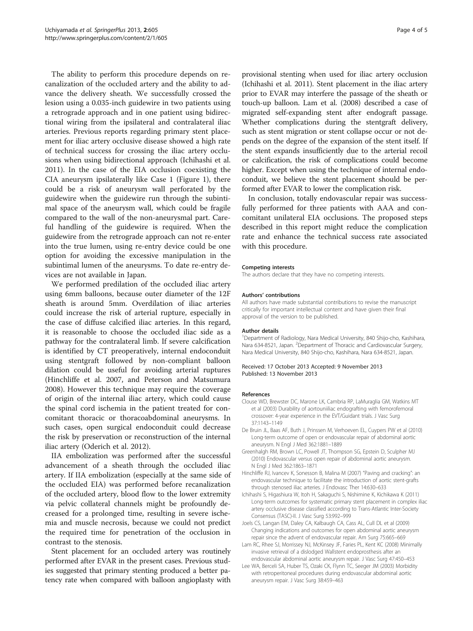<span id="page-3-0"></span>The ability to perform this procedure depends on recanalization of the occluded artery and the ability to advance the delivery sheath. We successfully crossed the lesion using a 0.035-inch guidewire in two patients using a retrograde approach and in one patient using bidirectional wiring from the ipsilateral and contralateral iliac arteries. Previous reports regarding primary stent placement for iliac artery occlusive disease showed a high rate of technical success for crossing the iliac artery occlusions when using bidirectional approach (Ichihashi et al. 2011). In the case of the EIA occlusion coexisting the CIA aneurysm ipsilaterally like Case 1 (Figure [1](#page-1-0)), there could be a risk of aneurysm wall perforated by the guidewire when the guidewire run through the subintimal space of the aneurysm wall, which could be fragile compared to the wall of the non-aneurysmal part. Careful handling of the guidewire is required. When the guidewire from the retrograde approach can not re-enter into the true lumen, using re-entry device could be one option for avoiding the excessive manipulation in the subintimal lumen of the aneurysms. To date re-entry devices are not available in Japan.

We performed predilation of the occluded iliac artery using 6mm balloons, because outer diameter of the 12F sheath is around 5mm. Overdilation of iliac arteries could increase the risk of arterial rupture, especially in the case of diffuse calcified iliac arteries. In this regard, it is reasonable to choose the occluded iliac side as a pathway for the contralateral limb. If severe calcification is identified by CT preoperatively, internal endoconduit using stentgraft followed by non-compliant balloon dilation could be useful for avoiding arterial ruptures (Hinchliffe et al. 2007, and Peterson and Matsumura [2008](#page-4-0)). However this technique may require the coverage of origin of the internal iliac artery, which could cause the spinal cord ischemia in the patient treated for concomitant thoracic or thoracoabdominal aneurysms. In such cases, open surgical endoconduit could decrease the risk by preservation or reconstruction of the internal iliac artery (Oderich et al. [2012](#page-4-0)).

IIA embolization was performed after the successful advancement of a sheath through the occluded iliac artery. If IIA embolization (especially at the same side of the occluded EIA) was performed before recanalization of the occluded artery, blood flow to the lower extremity via pelvic collateral channels might be profoundly decreased for a prolonged time, resulting in severe ischemia and muscle necrosis, because we could not predict the required time for penetration of the occlusion in contrast to the stenosis.

Stent placement for an occluded artery was routinely performed after EVAR in the present cases. Previous studies suggested that primary stenting produced a better patency rate when compared with balloon angioplasty with provisional stenting when used for iliac artery occlusion (Ichihashi et al. 2011). Stent placement in the iliac artery prior to EVAR may interfere the passage of the sheath or touch-up balloon. Lam et al. (2008) described a case of migrated self-expanding stent after endograft passage. Whether complications during the stentgraft delivery, such as stent migration or stent collapse occur or not depends on the degree of the expansion of the stent itself. If the stent expands insufficiently due to the arterial recoil or calcification, the risk of complications could become higher. Except when using the technique of internal endoconduit, we believe the stent placement should be performed after EVAR to lower the complication risk.

In conclusion, totally endovascular repair was successfully performed for three patients with AAA and concomitant unilateral EIA occlusions. The proposed steps described in this report might reduce the complication rate and enhance the technical success rate associated with this procedure.

#### Competing interests

The authors declare that they have no competing interests.

#### Authors' contributions

All authors have made substantial contributions to revise the manuscript critically for important intellectual content and have given their final approval of the version to be published.

#### Author details

<sup>1</sup>Department of Radiology, Nara Medical University, 840 Shijo-cho, Kashihara, Nara 634-8521, Japan. <sup>2</sup>Department of Thoracic and Cardiovascular Surgery Nara Medical University, 840 Shijo-cho, Kashihara, Nara 634-8521, Japan.

#### Received: 17 October 2013 Accepted: 9 November 2013 Published: 13 November 2013

#### References

- Clouse WD, Brewster DC, Marone LK, Cambria RP, LaMuraglia GM, Watkins MT et al (2003) Durability of aortouniiliac endografting with femorofemoral crossover: 4-year experience in the EVT/Guidant trials. J Vasc Surg 37:1143–1149
- De Bruin JL, Baas AF, Buth J, Prinssen M, Verhoeven EL, Cuypers PW et al (2010) Long-term outcome of open or endovascular repair of abdominal aortic aneurysm. N Engl J Med 362:1881–1889
- Greenhalgh RM, Brown LC, Powell JT, Thompson SG, Epstein D, Sculpher MJ (2010) Endovascular versus open repair of abdominal aortic aneurysm. N Engl J Med 362:1863–1871
- Hinchliffe RJ, Ivancev K, Sonesson B, Malina M (2007) "Paving and cracking": an endovascular technique to facilitate the introduction of aortic stent-grafts through stenosed iliac arteries. J Endovasc Ther 14:630–633
- Ichihashi S, Higashiura W, Itoh H, Sakaguchi S, Nishimine K, Kichikawa K (2011) Long-term outcomes for systematic primary stent placement in complex iliac artery occlusive disease classified according to Trans-Atlantic Inter-Society Consensus (TASC)-II. J Vasc Surg 53:992–999
- Joels CS, Langan EM, Daley CA, Kalbaugh CA, Cass AL, Cull DL et al (2009) Changing indications and outcomes for open abdominal aortic aneurysm repair since the advent of endovascular repair. Am Surg 75:665–669
- Lam RC, Rhee SJ, Morrissey NJ, McKinsey JF, Faries PL, Kent KC (2008) Minimally invasive retrieval of a dislodged Wallstent endoprosthesis after an endovascular abdominal aortic aneurysm repair. J Vasc Surg 47:450–453
- Lee WA, Berceli SA, Huber TS, Ozaki CK, Flynn TC, Seeger JM (2003) Morbidity with retroperitoneal procedures during endovascular abdominal aortic aneurysm repair. J Vasc Surg 38:459–463